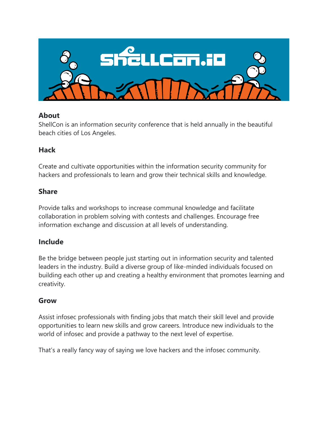

### **About**

ShellCon is an information security conference that is held annually in the beautiful beach cities of Los Angeles.

## **Hack**

Create and cultivate opportunities within the information security community for hackers and professionals to learn and grow their technical skills and knowledge.

### **Share**

Provide talks and workshops to increase communal knowledge and facilitate collaboration in problem solving with contests and challenges. Encourage free information exchange and discussion at all levels of understanding.

## **Include**

Be the bridge between people just starting out in information security and talented leaders in the industry. Build a diverse group of like-minded individuals focused on building each other up and creating a healthy environment that promotes learning and creativity.

## **Grow**

Assist infosec professionals with finding jobs that match their skill level and provide opportunities to learn new skills and grow careers. Introduce new individuals to the world of infosec and provide a pathway to the next level of expertise.

That's a really fancy way of saying we love hackers and the infosec community.